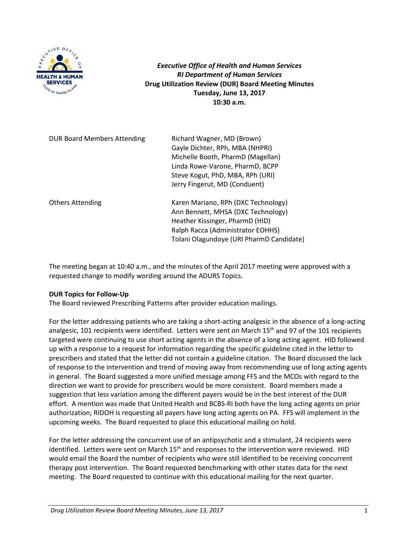

*Executive Office of Health and Human Services RI Department of Human Services* **Drug Utilization Review (DUR) Board Meeting Minutes Tuesday, June 13, 2017 10:30 a.m.**

| <b>DUR Board Members Attending</b> | Richard Wagner, MD (Brown)<br>Gayle Dichter, RPh, MBA (NHPRI)<br>Michelle Booth, PharmD (Magellan)<br>Linda Rowe-Varone, PharmD, BCPP<br>Steve Kogut, PhD, MBA, RPh (URI)<br>Jerry Fingerut, MD (Conduent) |
|------------------------------------|------------------------------------------------------------------------------------------------------------------------------------------------------------------------------------------------------------|
| <b>Others Attending</b>            | Karen Mariano, RPh (DXC Technology)<br>Ann Bennett, MHSA (DXC Technology)<br>Heather Kissinger, PharmD (HID)<br>Ralph Racca (Administrator EOHHS)<br>Tolani Olagundoye (URI PharmD Candidate)              |

The meeting began at 10:40 a.m., and the minutes of the April 2017 meeting were approved with a requested change to modify wording around the ADURS Topics.

### **DUR Topics for Follow-Up**

The Board reviewed Prescribing Patterns after provider education mailings.

For the letter addressing patients who are taking a short-acting analgesic in the absence of a long-acting analgesic, 101 recipients were identified. Letters were sent on March 15<sup>th</sup> and 97 of the 101 recipients targeted were continuing to use short acting agents in the absence of a long acting agent. HID followed up with a response to a request for information regarding the specific guideline cited in the letter to prescribers and stated that the letter did not contain a guideline citation. The Board discussed the lack of response to the intervention and trend of moving away from recommending use of long acting agents in general. The Board suggested a more unified message among FFS and the MCOs with regard to the direction we want to provide for prescribers would be more consistent. Board members made a suggestion that less variation among the different payers would be in the best interest of the DUR effort. A mention was made that United Health and BCBS-RI both have the long acting agents on prior authorization; RIDOH is requesting all payers have long acting agents on PA. FFS will implement in the upcoming weeks. The Board requested to place this educational mailing on hold.

For the letter addressing the concurrent use of an antipsychotic and a stimulant, 24 recipients were identified. Letters were sent on March 15<sup>th</sup> and responses to the intervention were reviewed. HID would email the Board the number of recipients who were still identified to be receiving concurrent therapy post intervention. The Board requested benchmarking with other states data for the next meeting. The Board requested to continue with this educational mailing for the next quarter.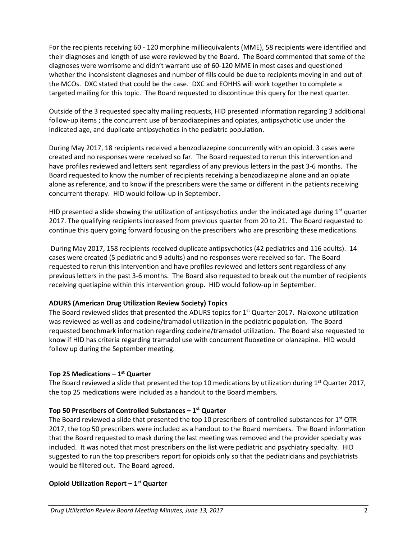For the recipients receiving 60 - 120 morphine milliequivalents (MME), 58 recipients were identified and their diagnoses and length of use were reviewed by the Board. The Board commented that some of the diagnoses were worrisome and didn't warrant use of 60-120 MME in most cases and questioned whether the inconsistent diagnoses and number of fills could be due to recipients moving in and out of the MCOs. DXC stated that could be the case. DXC and EOHHS will work together to complete a targeted mailing for this topic. The Board requested to discontinue this query for the next quarter.

Outside of the 3 requested specialty mailing requests, HID presented information regarding 3 additional follow-up items ; the concurrent use of benzodiazepines and opiates, antipsychotic use under the indicated age, and duplicate antipsychotics in the pediatric population.

During May 2017, 18 recipients received a benzodiazepine concurrently with an opioid. 3 cases were created and no responses were received so far. The Board requested to rerun this intervention and have profiles reviewed and letters sent regardless of any previous letters in the past 3-6 months. The Board requested to know the number of recipients receiving a benzodiazepine alone and an opiate alone as reference, and to know if the prescribers were the same or different in the patients receiving concurrent therapy. HID would follow-up in September.

HID presented a slide showing the utilization of antipsychotics under the indicated age during  $1<sup>st</sup>$  quarter 2017. The qualifying recipients increased from previous quarter from 20 to 21. The Board requested to continue this query going forward focusing on the prescribers who are prescribing these medications.

During May 2017, 158 recipients received duplicate antipsychotics (42 pediatrics and 116 adults). 14 cases were created (5 pediatric and 9 adults) and no responses were received so far. The Board requested to rerun this intervention and have profiles reviewed and letters sent regardless of any previous letters in the past 3-6 months. The Board also requested to break out the number of recipients receiving quetiapine within this intervention group. HID would follow-up in September.

# **ADURS (American Drug Utilization Review Society) Topics**

The Board reviewed slides that presented the ADURS topics for  $1<sup>st</sup>$  Quarter 2017. Naloxone utilization was reviewed as well as and codeine/tramadol utilization in the pediatric population. The Board requested benchmark information regarding codeine/tramadol utilization. The Board also requested to know if HID has criteria regarding tramadol use with concurrent fluoxetine or olanzapine. HID would follow up during the September meeting.

# **Top 25 Medications – 1st Quarter**

The Board reviewed a slide that presented the top 10 medications by utilization during  $1<sup>st</sup>$  Quarter 2017, the top 25 medications were included as a handout to the Board members.

# **Top 50 Prescribers of Controlled Substances – 1st Quarter**

The Board reviewed a slide that presented the top 10 prescribers of controlled substances for  $1<sup>st</sup> QTR$ 2017, the top 50 prescribers were included as a handout to the Board members. The Board information that the Board requested to mask during the last meeting was removed and the provider specialty was included. It was noted that most prescribers on the list were pediatric and psychiatry specialty. HID suggested to run the top prescribers report for opioids only so that the pediatricians and psychiatrists would be filtered out. The Board agreed.

# **Opioid Utilization Report – 1st Quarter**